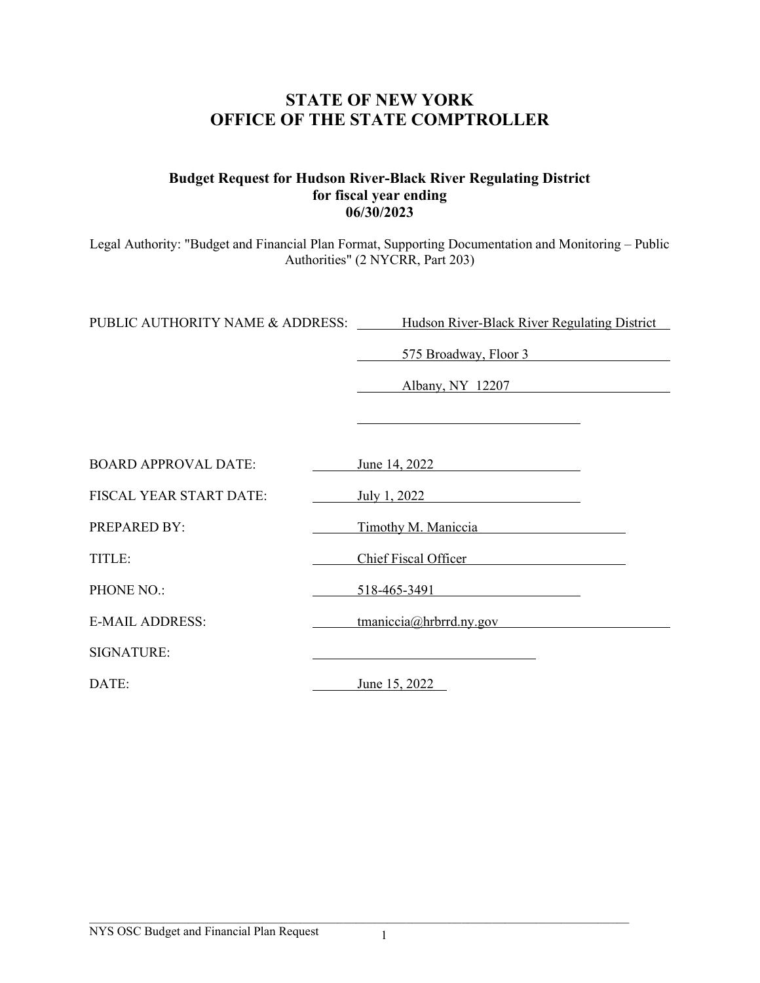# **STATE OF NEW YORK OFFICE OF THE STATE COMPTROLLER**

## **Budget Request for Hudson River-Black River Regulating District for fiscal year ending 06/30/2023**

Legal Authority: "Budget and Financial Plan Format, Supporting Documentation and Monitoring – Public Authorities" (2 NYCRR, Part 203)

PUBLIC AUTHORITY NAME & ADDRESS: Hudson River-Black River Regulating District

575 Broadway, Floor 3

Albany, NY 12207

| <b>BOARD APPROVAL DATE:</b>    | June 14, 2022                  |  |
|--------------------------------|--------------------------------|--|
| <b>FISCAL YEAR START DATE:</b> | July 1, 2022                   |  |
| <b>PREPARED BY:</b>            | Timothy M. Maniccia            |  |
| TITLE:                         | Chief Fiscal Officer           |  |
| PHONE NO.:                     | 518-465-3491                   |  |
| <b>E-MAIL ADDRESS:</b>         | $t$ maniccia $@$ hrbrrd.ny.gov |  |
| <b>SIGNATURE:</b>              |                                |  |
| DATE:                          | June 15, 2022                  |  |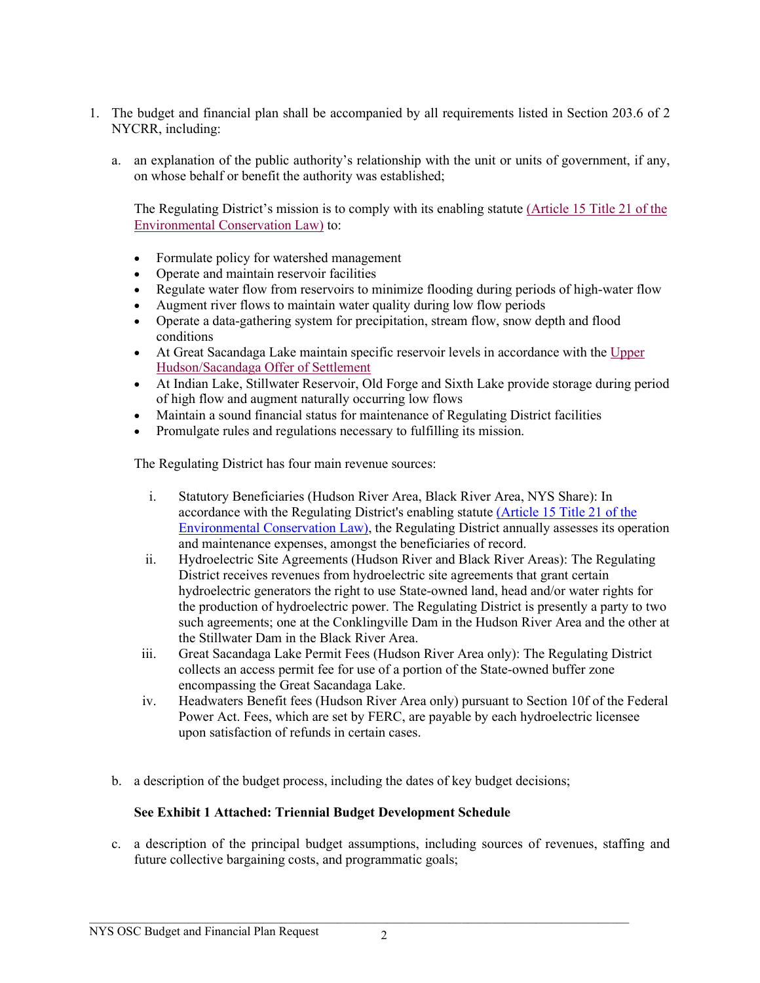- 1. The budget and financial plan shall be accompanied by all requirements listed in Section 203.6 of 2 NYCRR, including:
	- a. an explanation of the public authority's relationship with the unit or units of government, if any, on whose behalf or benefit the authority was established;

The Regulating District's mission is to comply with its enabling statute [\(Article 15 Title 21 of the](http://www.hrbrrd.com/title21.html)  [Environmental Conservation Law\)](http://www.hrbrrd.com/title21.html) to:

- Formulate policy for watershed management
- Operate and maintain reservoir facilities
- Regulate water flow from reservoirs to minimize flooding during periods of high-water flow
- Augment river flows to maintain water quality during low flow periods
- Operate a data-gathering system for precipitation, stream flow, snow depth and flood conditions
- At Great Sacandaga Lake maintain specific reservoir levels in accordance with the  $\overline{Upper}$ [Hudson/Sacandaga Offer of Settlement](http://www.hrbrrd.com/operationsacandagalake.html)
- At Indian Lake, Stillwater Reservoir, Old Forge and Sixth Lake provide storage during period of high flow and augment naturally occurring low flows
- Maintain a sound financial status for maintenance of Regulating District facilities
- Promulgate rules and regulations necessary to fulfilling its mission.

The Regulating District has four main revenue sources:

- i. Statutory Beneficiaries (Hudson River Area, Black River Area, NYS Share): In accordance with the Regulating District's enabling statute [\(Article 15 Title 21 of the](http://www.hrbrrd.com/title21.html)  [Environmental Conservation Law\),](http://www.hrbrrd.com/title21.html) the Regulating District annually assesses its operation and maintenance expenses, amongst the beneficiaries of record.
- ii. Hydroelectric Site Agreements (Hudson River and Black River Areas): The Regulating District receives revenues from hydroelectric site agreements that grant certain hydroelectric generators the right to use State-owned land, head and/or water rights for the production of hydroelectric power. The Regulating District is presently a party to two such agreements; one at the Conklingville Dam in the Hudson River Area and the other at the Stillwater Dam in the Black River Area.
- iii. Great Sacandaga Lake Permit Fees (Hudson River Area only): The Regulating District collects an access permit fee for use of a portion of the State-owned buffer zone encompassing the Great Sacandaga Lake.
- iv. Headwaters Benefit fees (Hudson River Area only) pursuant to Section 10f of the Federal Power Act. Fees, which are set by FERC, are payable by each hydroelectric licensee upon satisfaction of refunds in certain cases.
- b. a description of the budget process, including the dates of key budget decisions;

## **See Exhibit 1 Attached: Triennial Budget Development Schedule**

c. a description of the principal budget assumptions, including sources of revenues, staffing and future collective bargaining costs, and programmatic goals;

 $\mathcal{L}_\mathcal{L} = \{ \mathcal{L}_\mathcal{L} = \{ \mathcal{L}_\mathcal{L} = \{ \mathcal{L}_\mathcal{L} = \{ \mathcal{L}_\mathcal{L} = \{ \mathcal{L}_\mathcal{L} = \{ \mathcal{L}_\mathcal{L} = \{ \mathcal{L}_\mathcal{L} = \{ \mathcal{L}_\mathcal{L} = \{ \mathcal{L}_\mathcal{L} = \{ \mathcal{L}_\mathcal{L} = \{ \mathcal{L}_\mathcal{L} = \{ \mathcal{L}_\mathcal{L} = \{ \mathcal{L}_\mathcal{L} = \{ \mathcal{L}_\mathcal{$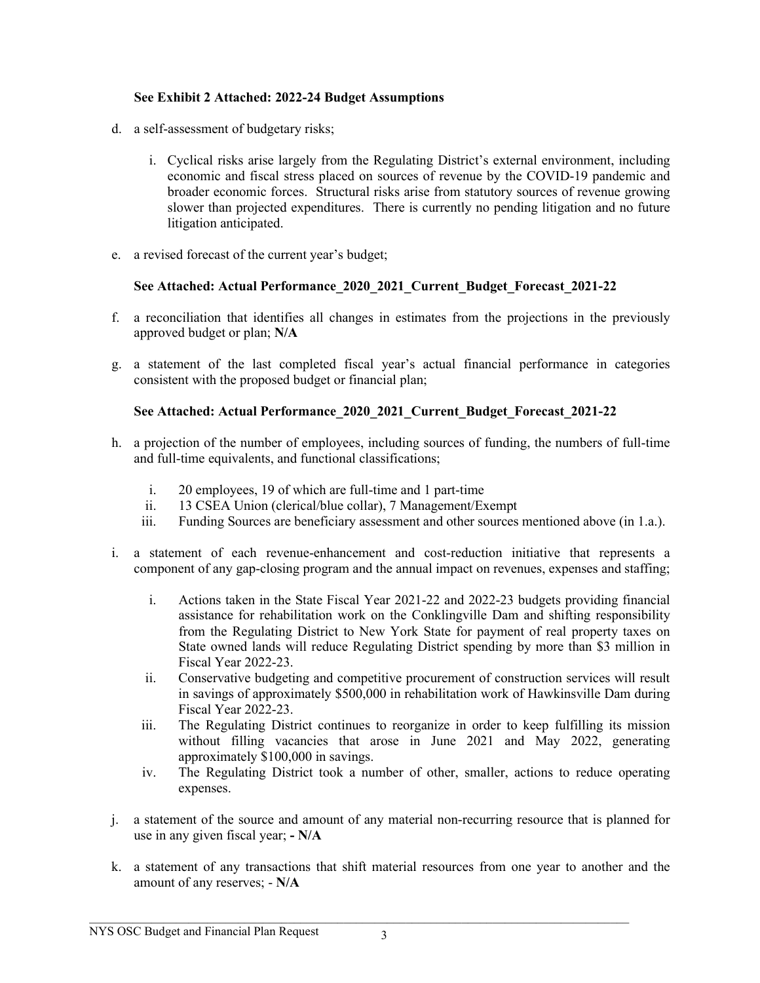## **See Exhibit 2 Attached: 2022-24 Budget Assumptions**

- d. a self-assessment of budgetary risks;
	- i. Cyclical risks arise largely from the Regulating District's external environment, including economic and fiscal stress placed on sources of revenue by the COVID-19 pandemic and broader economic forces. Structural risks arise from statutory sources of revenue growing slower than projected expenditures. There is currently no pending litigation and no future litigation anticipated.
- e. a revised forecast of the current year's budget;

## **See Attached: Actual Performance\_2020\_2021\_Current\_Budget\_Forecast\_2021-22**

- f. a reconciliation that identifies all changes in estimates from the projections in the previously approved budget or plan; **N/A**
- g. a statement of the last completed fiscal year's actual financial performance in categories consistent with the proposed budget or financial plan;

## **See Attached: Actual Performance\_2020\_2021\_Current\_Budget\_Forecast\_2021-22**

- h. a projection of the number of employees, including sources of funding, the numbers of full-time and full-time equivalents, and functional classifications;
	- i. 20 employees, 19 of which are full-time and 1 part-time
	- ii. 13 CSEA Union (clerical/blue collar), 7 Management/Exempt
	- iii. Funding Sources are beneficiary assessment and other sources mentioned above (in 1.a.).
- i. a statement of each revenue-enhancement and cost-reduction initiative that represents a component of any gap-closing program and the annual impact on revenues, expenses and staffing;
	- i. Actions taken in the State Fiscal Year 2021-22 and 2022-23 budgets providing financial assistance for rehabilitation work on the Conklingville Dam and shifting responsibility from the Regulating District to New York State for payment of real property taxes on State owned lands will reduce Regulating District spending by more than \$3 million in Fiscal Year 2022-23.
	- ii. Conservative budgeting and competitive procurement of construction services will result in savings of approximately \$500,000 in rehabilitation work of Hawkinsville Dam during Fiscal Year 2022-23.
	- iii. The Regulating District continues to reorganize in order to keep fulfilling its mission without filling vacancies that arose in June 2021 and May 2022, generating approximately \$100,000 in savings.
	- iv. The Regulating District took a number of other, smaller, actions to reduce operating expenses.
- j. a statement of the source and amount of any material non-recurring resource that is planned for use in any given fiscal year; **- N/A**
- k. a statement of any transactions that shift material resources from one year to another and the amount of any reserves; - **N/A**

 $\mathcal{L}_\mathcal{L} = \{ \mathcal{L}_\mathcal{L} = \{ \mathcal{L}_\mathcal{L} = \{ \mathcal{L}_\mathcal{L} = \{ \mathcal{L}_\mathcal{L} = \{ \mathcal{L}_\mathcal{L} = \{ \mathcal{L}_\mathcal{L} = \{ \mathcal{L}_\mathcal{L} = \{ \mathcal{L}_\mathcal{L} = \{ \mathcal{L}_\mathcal{L} = \{ \mathcal{L}_\mathcal{L} = \{ \mathcal{L}_\mathcal{L} = \{ \mathcal{L}_\mathcal{L} = \{ \mathcal{L}_\mathcal{L} = \{ \mathcal{L}_\mathcal{$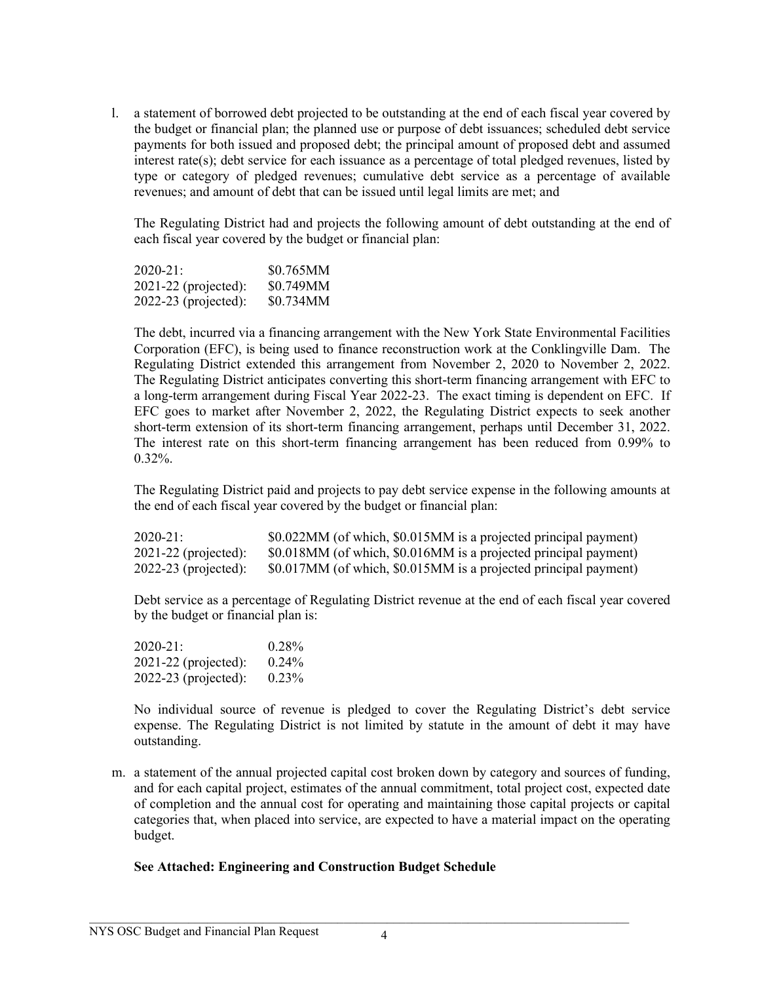l. a statement of borrowed debt projected to be outstanding at the end of each fiscal year covered by the budget or financial plan; the planned use or purpose of debt issuances; scheduled debt service payments for both issued and proposed debt; the principal amount of proposed debt and assumed interest rate(s); debt service for each issuance as a percentage of total pledged revenues, listed by type or category of pledged revenues; cumulative debt service as a percentage of available revenues; and amount of debt that can be issued until legal limits are met; and

The Regulating District had and projects the following amount of debt outstanding at the end of each fiscal year covered by the budget or financial plan:

| $2020 - 21:$           | \$0.765MM |
|------------------------|-----------|
| $2021-22$ (projected): | \$0.749MM |
| $2022-23$ (projected): | \$0.734MM |

The debt, incurred via a financing arrangement with the New York State Environmental Facilities Corporation (EFC), is being used to finance reconstruction work at the Conklingville Dam. The Regulating District extended this arrangement from November 2, 2020 to November 2, 2022. The Regulating District anticipates converting this short-term financing arrangement with EFC to a long-term arrangement during Fiscal Year 2022-23. The exact timing is dependent on EFC. If EFC goes to market after November 2, 2022, the Regulating District expects to seek another short-term extension of its short-term financing arrangement, perhaps until December 31, 2022. The interest rate on this short-term financing arrangement has been reduced from 0.99% to  $0.32\%$ .

The Regulating District paid and projects to pay debt service expense in the following amounts at the end of each fiscal year covered by the budget or financial plan:

| $2020 - 21:$           | \$0.022MM (of which, \$0.015MM is a projected principal payment) |
|------------------------|------------------------------------------------------------------|
| $2021-22$ (projected): | \$0.018MM (of which, \$0.016MM is a projected principal payment) |
| $2022-23$ (projected): | \$0.017MM (of which, \$0.015MM is a projected principal payment) |

Debt service as a percentage of Regulating District revenue at the end of each fiscal year covered by the budget or financial plan is:

| 2020-21:             | 0.28%    |
|----------------------|----------|
| 2021-22 (projected): | $0.24\%$ |
| 2022-23 (projected): | $0.23\%$ |

No individual source of revenue is pledged to cover the Regulating District's debt service expense. The Regulating District is not limited by statute in the amount of debt it may have outstanding.

m. a statement of the annual projected capital cost broken down by category and sources of funding, and for each capital project, estimates of the annual commitment, total project cost, expected date of completion and the annual cost for operating and maintaining those capital projects or capital categories that, when placed into service, are expected to have a material impact on the operating budget.

## **See Attached: Engineering and Construction Budget Schedule**

 $\mathcal{L}_\mathcal{L} = \{ \mathcal{L}_\mathcal{L} = \{ \mathcal{L}_\mathcal{L} = \{ \mathcal{L}_\mathcal{L} = \{ \mathcal{L}_\mathcal{L} = \{ \mathcal{L}_\mathcal{L} = \{ \mathcal{L}_\mathcal{L} = \{ \mathcal{L}_\mathcal{L} = \{ \mathcal{L}_\mathcal{L} = \{ \mathcal{L}_\mathcal{L} = \{ \mathcal{L}_\mathcal{L} = \{ \mathcal{L}_\mathcal{L} = \{ \mathcal{L}_\mathcal{L} = \{ \mathcal{L}_\mathcal{L} = \{ \mathcal{L}_\mathcal{$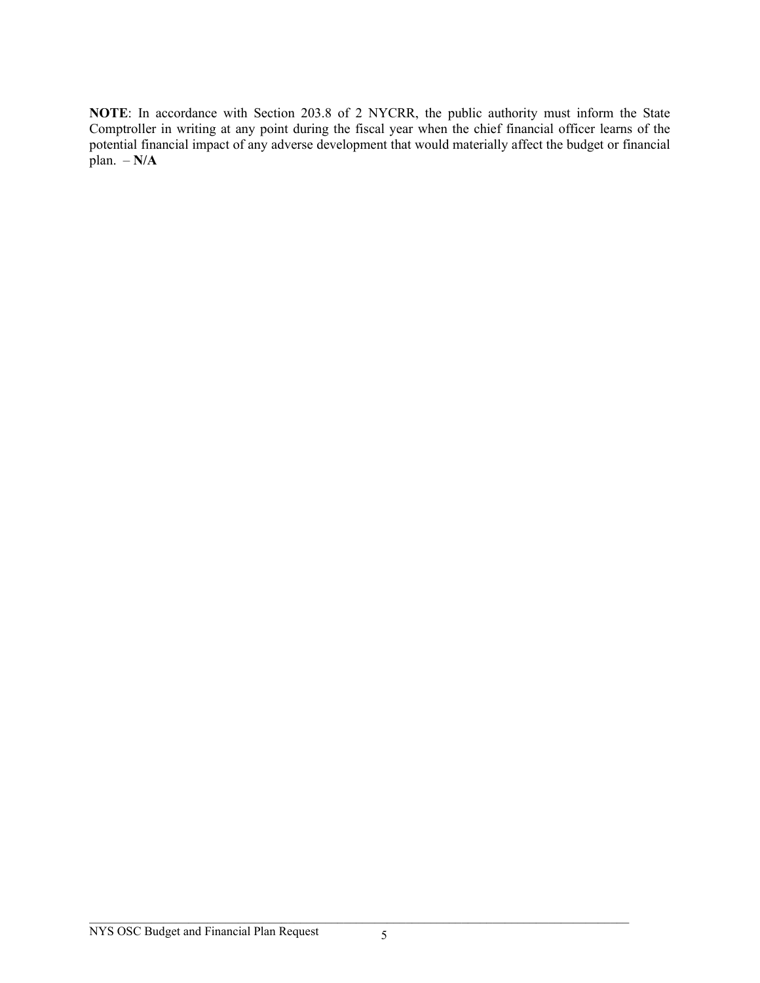**NOTE**: In accordance with Section 203.8 of 2 NYCRR, the public authority must inform the State Comptroller in writing at any point during the fiscal year when the chief financial officer learns of the potential financial impact of any adverse development that would materially affect the budget or financial plan.  $-N/A$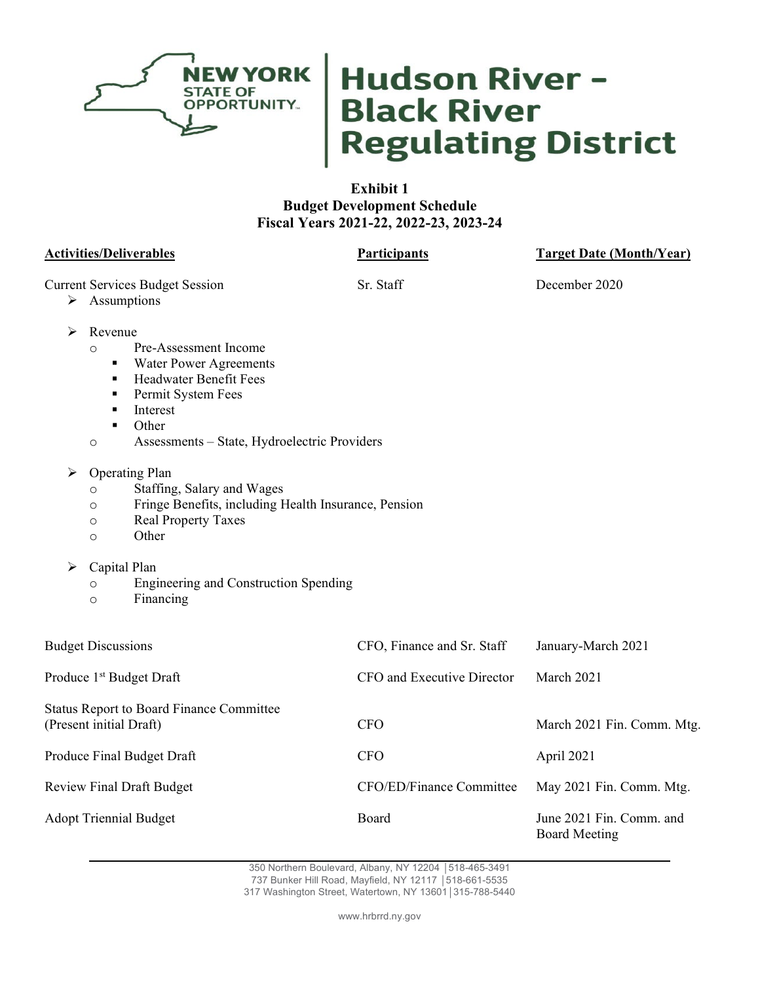

# Hudson River -<br>Black River<br>Regulating District

## **Exhibit 1 Budget Development Schedule Fiscal Years 2021-22, 2022-23, 2023-24**

**Activities/Deliverables Participants Target Date (Month/Year)**

Current Services Budget Session Sr. Staff December 2020

> Assumptions

- $\triangleright$  Revenue
	- o Pre-Assessment Income
		- Water Power Agreements
		- **Headwater Benefit Fees**
		- **Permit System Fees**
		- **Interest**
		- **Other**
	- o Assessments State, Hydroelectric Providers
- ▶ Operating Plan
	- o Staffing, Salary and Wages
	- o Fringe Benefits, including Health Insurance, Pension
	- o Real Property Taxes
	- o Other
- $\triangleright$  Capital Plan
	- o Engineering and Construction Spending
	- o Financing

| <b>Budget Discussions</b>                                                  | CFO, Finance and Sr. Staff | January-March 2021                        |
|----------------------------------------------------------------------------|----------------------------|-------------------------------------------|
| Produce 1 <sup>st</sup> Budget Draft                                       | CFO and Executive Director | March 2021                                |
| <b>Status Report to Board Finance Committee</b><br>(Present initial Draft) | <b>CFO</b>                 | March 2021 Fin. Comm. Mtg.                |
| Produce Final Budget Draft                                                 | <b>CFO</b>                 | April 2021                                |
| <b>Review Final Draft Budget</b>                                           | CFO/ED/Finance Committee   | May 2021 Fin. Comm. Mtg.                  |
| <b>Adopt Triennial Budget</b>                                              | Board                      | June 2021 Fin. Comm. and<br>Board Meeting |

350 Northern Boulevard, Albany, NY 12204 │518-465-3491 737 Bunker Hill Road, Mayfield, NY 12117 │518-661-5535

317 Washington Street, Watertown, NY 13601│315-788-5440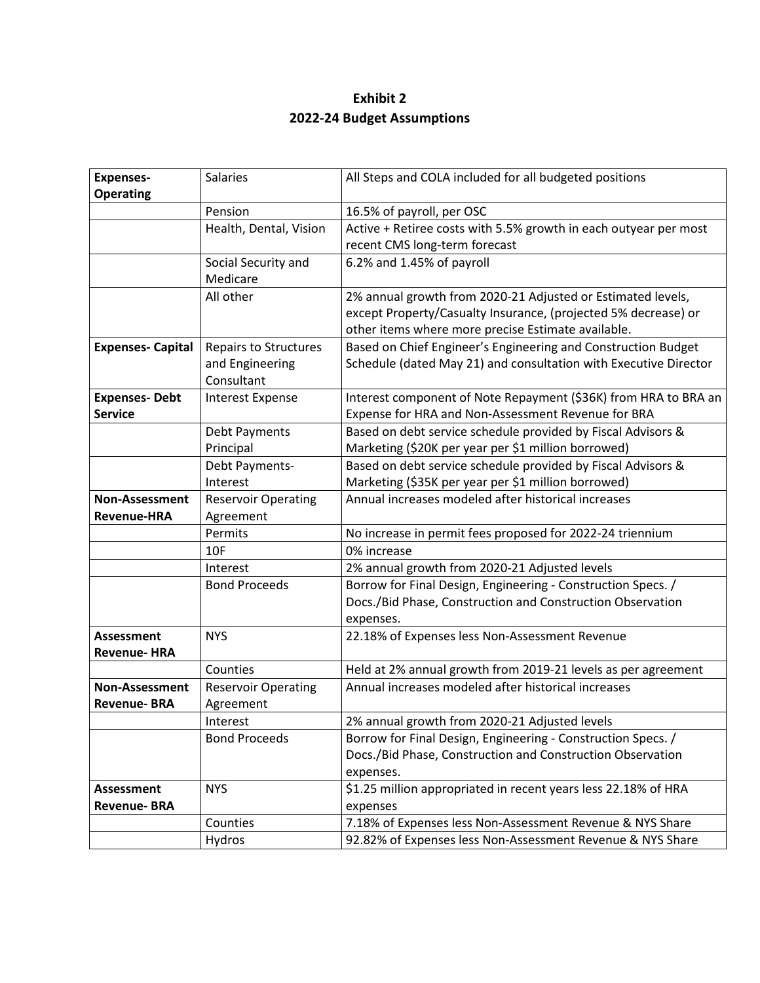# **Exhibit 2 2022-24 Budget Assumptions**

| <b>Expenses-</b>         | Salaries                     | All Steps and COLA included for all budgeted positions           |
|--------------------------|------------------------------|------------------------------------------------------------------|
| <b>Operating</b>         |                              |                                                                  |
|                          | Pension                      | 16.5% of payroll, per OSC                                        |
|                          | Health, Dental, Vision       | Active + Retiree costs with 5.5% growth in each outyear per most |
|                          |                              | recent CMS long-term forecast                                    |
|                          | Social Security and          | 6.2% and 1.45% of payroll                                        |
|                          | Medicare                     |                                                                  |
|                          | All other                    | 2% annual growth from 2020-21 Adjusted or Estimated levels,      |
|                          |                              | except Property/Casualty Insurance, (projected 5% decrease) or   |
|                          |                              | other items where more precise Estimate available.               |
| <b>Expenses- Capital</b> | <b>Repairs to Structures</b> | Based on Chief Engineer's Engineering and Construction Budget    |
|                          | and Engineering              | Schedule (dated May 21) and consultation with Executive Director |
|                          | Consultant                   |                                                                  |
| <b>Expenses-Debt</b>     | <b>Interest Expense</b>      | Interest component of Note Repayment (\$36K) from HRA to BRA an  |
| <b>Service</b>           |                              | Expense for HRA and Non-Assessment Revenue for BRA               |
|                          | <b>Debt Payments</b>         | Based on debt service schedule provided by Fiscal Advisors &     |
|                          | Principal                    | Marketing (\$20K per year per \$1 million borrowed)              |
|                          | Debt Payments-               | Based on debt service schedule provided by Fiscal Advisors &     |
|                          | Interest                     | Marketing (\$35K per year per \$1 million borrowed)              |
| <b>Non-Assessment</b>    | <b>Reservoir Operating</b>   | Annual increases modeled after historical increases              |
| <b>Revenue-HRA</b>       | Agreement                    |                                                                  |
|                          | Permits                      | No increase in permit fees proposed for 2022-24 triennium        |
|                          | <b>10F</b>                   | 0% increase                                                      |
|                          | Interest                     | 2% annual growth from 2020-21 Adjusted levels                    |
|                          | <b>Bond Proceeds</b>         | Borrow for Final Design, Engineering - Construction Specs. /     |
|                          |                              | Docs./Bid Phase, Construction and Construction Observation       |
|                          |                              | expenses.                                                        |
| <b>Assessment</b>        | <b>NYS</b>                   | 22.18% of Expenses less Non-Assessment Revenue                   |
| <b>Revenue-HRA</b>       |                              |                                                                  |
|                          | Counties                     | Held at 2% annual growth from 2019-21 levels as per agreement    |
| <b>Non-Assessment</b>    | <b>Reservoir Operating</b>   | Annual increases modeled after historical increases              |
| <b>Revenue-BRA</b>       | Agreement                    |                                                                  |
|                          | Interest                     | 2% annual growth from 2020-21 Adjusted levels                    |
|                          | <b>Bond Proceeds</b>         | Borrow for Final Design, Engineering - Construction Specs. /     |
|                          |                              | Docs./Bid Phase, Construction and Construction Observation       |
|                          |                              | expenses.                                                        |
| Assessment               | <b>NYS</b>                   | \$1.25 million appropriated in recent years less 22.18% of HRA   |
| <b>Revenue-BRA</b>       |                              | expenses                                                         |
|                          | Counties                     | 7.18% of Expenses less Non-Assessment Revenue & NYS Share        |
|                          | Hydros                       | 92.82% of Expenses less Non-Assessment Revenue & NYS Share       |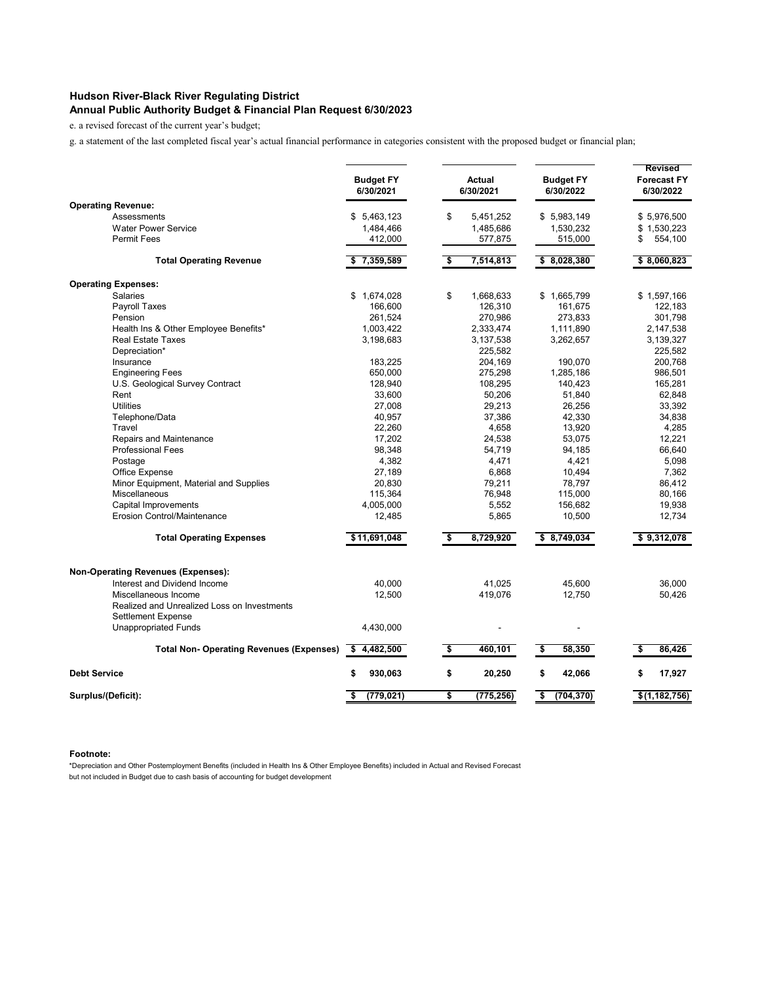## **Hudson River-Black River Regulating District Annual Public Authority Budget & Financial Plan Request 6/30/2023**

e. a revised forecast of the current year's budget;

g. a statement of the last completed fiscal year's actual financial performance in categories consistent with the proposed budget or financial plan;

|                                                 | <b>Budget FY</b><br>6/30/2021 |                      | <b>Actual</b><br>6/30/2021 | <b>Budget FY</b><br>6/30/2022 | <b>Revised</b><br><b>Forecast FY</b><br>6/30/2022 |
|-------------------------------------------------|-------------------------------|----------------------|----------------------------|-------------------------------|---------------------------------------------------|
| <b>Operating Revenue:</b>                       |                               |                      |                            |                               |                                                   |
| Assessments<br><b>Water Power Service</b>       | \$5,463,123                   | \$                   | 5,451,252                  | \$5,983,149                   | \$5,976,500                                       |
| <b>Permit Fees</b>                              | 1,484,466<br>412,000          |                      | 1,485,686<br>577,875       | 1,530,232<br>515,000          | \$<br>\$1,530,223<br>554,100                      |
|                                                 |                               |                      |                            |                               |                                                   |
| <b>Total Operating Revenue</b>                  | \$7,359,589                   | \$                   | 7,514,813                  | \$8,028,380                   | \$8,060,823                                       |
| <b>Operating Expenses:</b>                      |                               |                      |                            |                               |                                                   |
| <b>Salaries</b>                                 | \$1,674,028                   | \$                   | 1,668,633                  | \$1,665,799                   | \$1,597,166                                       |
| Payroll Taxes                                   | 166,600                       |                      | 126,310                    | 161,675                       | 122,183                                           |
| Pension                                         | 261,524                       |                      | 270,986                    | 273,833                       | 301,798                                           |
| Health Ins & Other Employee Benefits*           | 1,003,422                     |                      | 2,333,474                  | 1,111,890                     | 2,147,538                                         |
| <b>Real Estate Taxes</b>                        | 3,198,683                     |                      | 3,137,538                  | 3,262,657                     | 3,139,327                                         |
| Depreciation*                                   |                               |                      | 225,582                    |                               | 225,582                                           |
| Insurance                                       | 183,225                       |                      | 204,169                    | 190,070                       | 200,768                                           |
| <b>Engineering Fees</b>                         | 650,000                       |                      | 275,298                    | 1,285,186                     | 986,501                                           |
| U.S. Geological Survey Contract                 | 128,940                       |                      | 108,295                    | 140,423                       | 165,281                                           |
| Rent                                            | 33,600                        |                      | 50,206                     | 51,840                        | 62,848                                            |
| <b>Utilities</b>                                | 27,008                        |                      | 29,213                     | 26,256                        | 33,392                                            |
| Telephone/Data                                  | 40,957                        |                      | 37,386                     | 42,330                        | 34,838                                            |
| Travel                                          | 22,260                        |                      | 4,658                      | 13,920                        | 4,285                                             |
| Repairs and Maintenance                         | 17,202                        |                      | 24,538                     | 53,075                        | 12,221                                            |
| <b>Professional Fees</b>                        | 98,348                        |                      | 54,719                     | 94,185                        | 66,640                                            |
| Postage                                         | 4,382                         |                      | 4,471                      | 4,421                         | 5,098                                             |
| Office Expense                                  | 27,189                        |                      | 6,868                      | 10,494                        | 7,362                                             |
| Minor Equipment, Material and Supplies          | 20,830                        |                      | 79,211                     | 78,797                        | 86,412                                            |
| Miscellaneous                                   |                               |                      |                            |                               |                                                   |
| Capital Improvements                            | 115,364                       |                      | 76,948<br>5,552            | 115,000<br>156,682            | 80,166<br>19,938                                  |
| <b>Erosion Control/Maintenance</b>              | 4,005,000<br>12,485           |                      | 5,865                      | 10,500                        | 12,734                                            |
| <b>Total Operating Expenses</b>                 | \$11,691,048                  | \$                   | 8,729,920                  | \$8,749,034                   | \$9,312,078                                       |
|                                                 |                               |                      |                            |                               |                                                   |
| <b>Non-Operating Revenues (Expenses):</b>       |                               |                      |                            |                               |                                                   |
| Interest and Dividend Income                    | 40,000                        |                      | 41,025                     | 45,600                        | 36,000                                            |
| Miscellaneous Income                            | 12,500                        |                      | 419,076                    | 12,750                        | 50,426                                            |
| Realized and Unrealized Loss on Investments     |                               |                      |                            |                               |                                                   |
| <b>Settlement Expense</b>                       |                               |                      |                            |                               |                                                   |
| <b>Unappropriated Funds</b>                     | 4,430,000                     |                      |                            |                               |                                                   |
| <b>Total Non- Operating Revenues (Expenses)</b> | \$4,482,500                   | $\overline{\bullet}$ | 460,101                    | \$<br>58,350                  | \$<br>86,426                                      |
| <b>Debt Service</b>                             | \$<br>930,063                 | \$                   | 20,250                     | \$<br>42,066                  | \$<br>17,927                                      |
| Surplus/(Deficit):                              | \$<br>(779, 021)              | \$                   | (775, 256)                 | \$<br>(704, 370)              | \$(1, 182, 756)                                   |

## **Footnote:**

\*Depreciation and Other Postemployment Benefits (included in Health Ins & Other Employee Benefits) included in Actual and Revised Forecast but not included in Budget due to cash basis of accounting for budget development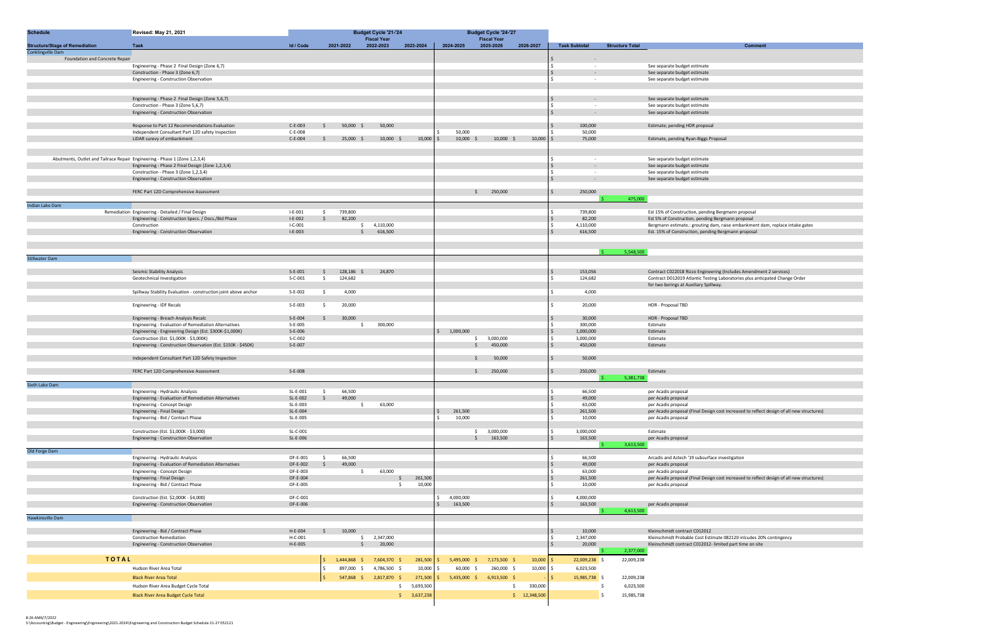| <b>Schedule</b>                                            | Revised: May 21, 2021                                                                    |                      |               |                  | <b>Budget Cycle '21-'24</b> |                                |             |                       | <b>Budget Cycle '24-'27</b> |               |                               |                        |                                                                                                                 |
|------------------------------------------------------------|------------------------------------------------------------------------------------------|----------------------|---------------|------------------|-----------------------------|--------------------------------|-------------|-----------------------|-----------------------------|---------------|-------------------------------|------------------------|-----------------------------------------------------------------------------------------------------------------|
|                                                            |                                                                                          |                      |               |                  | <b>Fiscal Year</b>          |                                |             |                       | <b>Fiscal Year</b>          |               | <b>Task Subtotal</b>          |                        |                                                                                                                 |
| <b>Structure/Stage of Remediation</b><br>Conklingville Dam | Task                                                                                     | Id / Code            |               | 2021-2022        | 2022-2023                   | 2023-2024                      | 2024-2025   |                       | 2025-2026                   | 2026-2027     |                               | <b>Structure Total</b> | <b>Comment</b>                                                                                                  |
| Foundation and Concrete Repair                             |                                                                                          |                      |               |                  |                             |                                |             |                       |                             |               |                               |                        |                                                                                                                 |
|                                                            | Engineering - Phase 2 Final Design (Zone 6,7)                                            |                      |               |                  |                             |                                |             |                       |                             |               |                               |                        | See separate budget estimate                                                                                    |
|                                                            | Construction - Phase 3 (Zone 6,7)                                                        |                      |               |                  |                             |                                |             |                       |                             |               | $\overline{\phantom{a}}$      |                        | See separate budget estimate                                                                                    |
|                                                            | Engineering - Construction Observation                                                   |                      |               |                  |                             |                                |             |                       |                             |               |                               |                        | See separate budget estimate                                                                                    |
|                                                            |                                                                                          |                      |               |                  |                             |                                |             |                       |                             |               |                               |                        |                                                                                                                 |
|                                                            | Engineering - Phase 2 Final Design (Zone 5,6,7)                                          |                      |               |                  |                             |                                |             |                       |                             |               |                               |                        | See separate budget estimate                                                                                    |
|                                                            | Construction - Phase 3 (Zone 5,6,7)                                                      |                      |               |                  |                             |                                |             |                       |                             |               |                               |                        | See separate budget estimate                                                                                    |
|                                                            | Engineering - Construction Observation                                                   |                      |               |                  |                             |                                |             |                       |                             |               | $\overline{\phantom{a}}$      |                        | See separate budget estimate                                                                                    |
|                                                            |                                                                                          |                      |               |                  |                             |                                |             |                       |                             |               |                               |                        |                                                                                                                 |
|                                                            | Response to Part 12 Recommendations Evaluation                                           | $C-E-003$            | Ŝ.            | $50,000$ \$      | 50,000                      |                                |             |                       |                             |               | 100,000                       |                        | Estimate; pending HDR proposal                                                                                  |
|                                                            | Independent Consultant Part 12D safety Inspection                                        | $C-E-008$<br>C-E-004 |               |                  |                             |                                |             | 50,000<br>$10,000$ \$ | $10,000$ \$                 |               | 50,000<br>75,000              |                        |                                                                                                                 |
|                                                            | LiDAR surevy of embankment                                                               |                      | \$            | $25,000$ \$      | $10,000$ \$                 | $10,000$ \$                    |             |                       |                             | 10,000        |                               |                        | Estimate, pending Ryan-Biggs Proposal                                                                           |
|                                                            |                                                                                          |                      |               |                  |                             |                                |             |                       |                             |               |                               |                        |                                                                                                                 |
|                                                            | Abutments, Outlet and Tailrace Repair Engineering - Phase 1 (Zone 1,2,3,4)               |                      |               |                  |                             |                                |             |                       |                             |               |                               |                        | See separate budget estimate                                                                                    |
|                                                            | Engineering - Phase 2 Final Design (Zone 1,2,3,4)                                        |                      |               |                  |                             |                                |             |                       |                             |               |                               |                        | See separate budget estimate                                                                                    |
|                                                            | Construction - Phase 3 (Zone 1,2,3,4)                                                    |                      |               |                  |                             |                                |             |                       |                             |               | $\sim$                        |                        | See separate budget estimate                                                                                    |
|                                                            | Engineering - Construction Observation                                                   |                      |               |                  |                             |                                |             |                       |                             |               | $\mathsf{S}$<br>$\sim$        |                        | See separate budget estimate                                                                                    |
|                                                            | FERC Part 12D Comprehensive Assessment                                                   |                      |               |                  |                             |                                |             | S.                    | 250,000                     |               | 250,000<br>\$                 |                        |                                                                                                                 |
|                                                            |                                                                                          |                      |               |                  |                             |                                |             |                       |                             |               |                               | 475,000                |                                                                                                                 |
| Indian Lake Dam                                            |                                                                                          |                      |               |                  |                             |                                |             |                       |                             |               |                               |                        |                                                                                                                 |
|                                                            | Remediation Engineering - Detailed / Final Design                                        | $I-E-001$            | \$            | 739,800          |                             |                                |             |                       |                             |               | 739,800                       |                        | Est 15% of Construction, pending Bergmann proposal                                                              |
|                                                            | Engineering - Construction Specs. / Docs./Bid Phase                                      | $I-E-002$            | $\mathsf{S}$  | 82,200           |                             |                                |             |                       |                             |               | 82,200                        |                        | Est 5% of Construction, pending Bergmann proposal                                                               |
|                                                            | Construction                                                                             | $I-C-001$            |               | \$               | 4,110,000                   |                                |             |                       |                             |               | 4,110,000                     |                        | Bergmann estimate.: grouting dam, raise embankment dam, replace intake gates                                    |
|                                                            | Engineering - Construction Observation                                                   | $I-E-003$            |               |                  | 616,500                     |                                |             |                       |                             |               | 616,500                       |                        | Est. 15% of Construction, pending Bergmann proposal                                                             |
|                                                            |                                                                                          |                      |               |                  |                             |                                |             |                       |                             |               |                               |                        |                                                                                                                 |
|                                                            |                                                                                          |                      |               |                  |                             |                                |             |                       |                             |               |                               | 5,548,500              |                                                                                                                 |
| <b>Stillwater Dam</b>                                      |                                                                                          |                      |               |                  |                             |                                |             |                       |                             |               |                               |                        |                                                                                                                 |
|                                                            |                                                                                          |                      |               |                  |                             |                                |             |                       |                             |               |                               |                        |                                                                                                                 |
|                                                            | Seismic Stability Analysis                                                               | $S-E-001$            | \$            | 128,186          | 24,870                      |                                |             |                       |                             |               | 153,056                       |                        | Contract C022018 Rizzo Engineering (Includes Amendment 2 services)                                              |
|                                                            | Geotechnical Investigation                                                               | $S-C-001$            | \$            | 124,682          |                             |                                |             |                       |                             |               | 124,682                       |                        | Contract D012019 Atlantic Testing Laboratories plus anticpated Change Order                                     |
|                                                            |                                                                                          |                      |               |                  |                             |                                |             |                       |                             |               |                               |                        | for two borings at Auxiliary Spillway.                                                                          |
|                                                            | Spillway Stability Evaluation - construction joint above anchor                          | S-E-002              | \$            | 4,000            |                             |                                |             |                       |                             |               | 4,000                         |                        |                                                                                                                 |
|                                                            | Engineering - IDF Recalc                                                                 | S-E-003              | \$            | 20,000           |                             |                                |             |                       |                             |               | 20,000                        |                        | HDR - Proposal TBD                                                                                              |
|                                                            |                                                                                          |                      |               |                  |                             |                                |             |                       |                             |               |                               |                        |                                                                                                                 |
|                                                            | Engineering - Breach Analysis Recalc                                                     | $S-E-004$            | Ŝ.            | 30,000           |                             |                                |             |                       |                             |               | 30,000                        |                        | HDR - Proposal TBD                                                                                              |
|                                                            | Engineering - Evaluation of Remediation Alternatives                                     | S-E-005              |               | S.               | 300,000                     |                                |             |                       |                             |               | 300,000                       |                        | Estimate                                                                                                        |
|                                                            | Engineering - Engineering Design (Est. \$300K-\$1,000K)                                  | $S-E-006$            |               |                  |                             |                                | \$1,000,000 |                       |                             |               | 1,000,000                     |                        | Estimate                                                                                                        |
|                                                            | Construction (Est. \$1,000K - \$3,000K)                                                  | S-C-002              |               |                  |                             |                                |             | \$                    | 3,000,000                   |               | 3,000,000                     |                        | Estimate                                                                                                        |
|                                                            | Engineering - Construction Observation (Est. \$150K - \$450K)                            | S-E-007              |               |                  |                             |                                |             | Ŝ.                    | 450,000                     |               | 450,000                       |                        | Estimate                                                                                                        |
|                                                            |                                                                                          |                      |               |                  |                             |                                |             | Ŝ.                    | 50,000                      |               | 50,000                        |                        |                                                                                                                 |
|                                                            | Independent Consultant Part 12D Safety Inspection                                        |                      |               |                  |                             |                                |             |                       |                             |               |                               |                        |                                                                                                                 |
|                                                            | FERC Part 12D Comprehensive Assessment                                                   | $S-E-008$            |               |                  |                             |                                |             | S.                    | 250,000                     |               | $\dot{\mathsf{S}}$<br>250,000 |                        | Estimate                                                                                                        |
|                                                            |                                                                                          |                      |               |                  |                             |                                |             |                       |                             |               |                               | 5,381,738              |                                                                                                                 |
| Sixth Lake Dam                                             |                                                                                          |                      |               |                  |                             |                                |             |                       |                             |               |                               |                        |                                                                                                                 |
|                                                            | Engineering - Hydraulic Analysis                                                         | SL-E-001             | Ŝ.            | 66,500           |                             |                                |             |                       |                             |               | 66,500                        |                        | per Acadis proposal                                                                                             |
|                                                            | Engineering - Evaluation of Remediation Alternatives                                     | SL-E-002             | $\mathsf{S}$  | 49,000           |                             |                                |             |                       |                             |               | 49,000                        |                        | per Acadis proposal                                                                                             |
|                                                            | Engineering - Concept Design<br>Engineering - Final Design                               | SL-E-003<br>SL-E-004 |               | \$               | 63,000                      |                                |             | 261,500               |                             |               | 63,000<br>261,500             |                        | per Acadis proposal<br>per Acadis proposal (Final Design cost increased to reflect design of all new structures |
|                                                            | Engineering - Bid / Contract Phase                                                       | SL-E-005             |               |                  |                             |                                |             | 10,000                |                             |               | 10,000                        |                        | per Acadis proposal                                                                                             |
|                                                            |                                                                                          |                      |               |                  |                             |                                |             |                       |                             |               |                               |                        |                                                                                                                 |
|                                                            | Construction (Est. \$1,000K - \$3,000)                                                   | SL-C-001             |               |                  |                             |                                |             | $\frac{1}{2}$         | 3,000,000                   |               | 3,000,000<br>Ś.               |                        | Estimate                                                                                                        |
|                                                            | Engineering - Construction Observation                                                   | SL-E-006             |               |                  |                             |                                |             | $\mathsf{S}$          | 163,500                     |               | 163,500<br>Ś.                 |                        | per Acadis proposal                                                                                             |
|                                                            |                                                                                          |                      |               |                  |                             |                                |             |                       |                             |               |                               | 3,613,500              |                                                                                                                 |
| Old Forge Dam                                              |                                                                                          |                      |               |                  |                             |                                |             |                       |                             |               |                               |                        |                                                                                                                 |
|                                                            | Engineering - Hydraulic Analysis<br>Engineering - Evaluation of Remediation Alternatives | OF-E-001<br>OF-E-002 | \$<br>$\zeta$ | 66,500<br>49,000 |                             |                                |             |                       |                             |               | 66,500<br>49,000              |                        | Arcadis and Aztech '19 subsurface investigation                                                                 |
|                                                            | Engineering - Concept Design                                                             | OF-E-003             |               | $\frac{1}{2}$    | 63,000                      |                                |             |                       |                             |               | 63,000                        |                        | per Acadis proposal<br>per Acadis proposal                                                                      |
|                                                            | Engineering - Final Design                                                               | OF-E-004             |               |                  |                             | $\ddot{\mathsf{S}}$<br>261,500 |             |                       |                             |               | 261,500                       |                        | per Acadis proposal (Final Design cost increased to reflect design of all new structures                        |
|                                                            | Engineering - Bid / Contract Phase                                                       | OF-E-005             |               |                  |                             | 10,000<br>\$                   |             |                       |                             |               | 10,000                        |                        | per Acadis proposal                                                                                             |
|                                                            |                                                                                          |                      |               |                  |                             |                                |             |                       |                             |               |                               |                        |                                                                                                                 |
|                                                            | Construction (Est. \$2,000K - \$4,000)                                                   | OF-C-001             |               |                  |                             |                                |             | 4,000,000             |                             |               | 4,000,000                     |                        |                                                                                                                 |
|                                                            | Engineering - Construction Observation                                                   | OF-E-006             |               |                  |                             |                                |             | 163,500               |                             |               | 163,500                       |                        | per Acadis proposal                                                                                             |
| Hawkinsville Dam                                           |                                                                                          |                      |               |                  |                             |                                |             |                       |                             |               |                               | 4,613,500              |                                                                                                                 |
|                                                            |                                                                                          |                      |               |                  |                             |                                |             |                       |                             |               |                               |                        |                                                                                                                 |
|                                                            | Engineering - Bid / Contract Phase                                                       | H-E-004              | S.            | 10,000           |                             |                                |             |                       |                             |               | 10,000                        |                        | Kleinschmidt contract C012012                                                                                   |
|                                                            | <b>Construction Remediation</b>                                                          | H-C-001              |               |                  | \$2,347,000                 |                                |             |                       |                             |               | 2,347,000                     |                        | Kleinschmidt Probable Cost Estimate 082120 inlcudes 20% contingency                                             |
|                                                            | Engineering - Construction Observation                                                   | H-E-005              |               |                  | 20,000                      |                                |             |                       |                             |               | 20,000                        |                        | Kleinschmidt contract C012012- limited part time on site                                                        |
|                                                            |                                                                                          |                      |               |                  |                             |                                |             |                       |                             |               |                               | 2,377,000              |                                                                                                                 |
| <b>TOTAL</b>                                               |                                                                                          |                      |               | $1,444,868$ \$   | 7,604,370 \$                | $281,500$ \$                   |             | 5,495,000 \$          | 7,173,500 \$                | 10,000        | 22,009,238 \$<br>-Ś           | 22,009,238             |                                                                                                                 |
|                                                            | Hudson River Area Total                                                                  |                      | Ŝ.            |                  | 897,000 \$ 4,786,500 \$     | 10,000 \$                      |             | $60,000$ \$           | 260,000 \$                  | 10,000        | 6,023,500<br>Ŝ                |                        |                                                                                                                 |
|                                                            | <b>Black River Area Total</b>                                                            |                      | $\mathsf{S}$  |                  | 547,868 \$ 2,817,870 \$     | $271,500$ \$                   |             | $5,435,000$ \$        | $6,913,500$ \$              |               | 15,985,738 \$<br>Ŝ.           | 22,009,238             |                                                                                                                 |
|                                                            |                                                                                          |                      |               |                  |                             |                                |             |                       |                             |               |                               |                        |                                                                                                                 |
|                                                            | Hudson River Area Budget Cycle Total                                                     |                      |               |                  |                             | 5,693,500<br>\$                |             |                       | \$                          | 330,000       |                               | 6,023,500<br>- \$      |                                                                                                                 |
|                                                            | <b>Black River Area Budget Cycle Total</b>                                               |                      |               |                  |                             | \$3,637,238                    |             |                       |                             | \$ 12,348,500 |                               | 15,985,738<br>Ŝ.       |                                                                                                                 |

8:26 AM6/7/2022 S:\Accounting\Budget - Engineering\Engineering\2021-2024\Engineering and Construction Budget Schedule 21-27 052121

| al                                                                                                                          |
|-----------------------------------------------------------------------------------------------------------------------------|
|                                                                                                                             |
|                                                                                                                             |
|                                                                                                                             |
|                                                                                                                             |
|                                                                                                                             |
|                                                                                                                             |
|                                                                                                                             |
|                                                                                                                             |
| gmann proposal                                                                                                              |
| mann proposal;<br>raise embankment dam, replace intake gates                                                                |
| rgmann proposal                                                                                                             |
|                                                                                                                             |
|                                                                                                                             |
|                                                                                                                             |
|                                                                                                                             |
| (Includes Amendment 2 services)                                                                                             |
| boratories plus anticpated Change Order                                                                                     |
|                                                                                                                             |
|                                                                                                                             |
|                                                                                                                             |
|                                                                                                                             |
|                                                                                                                             |
|                                                                                                                             |
|                                                                                                                             |
|                                                                                                                             |
|                                                                                                                             |
|                                                                                                                             |
|                                                                                                                             |
|                                                                                                                             |
|                                                                                                                             |
|                                                                                                                             |
|                                                                                                                             |
|                                                                                                                             |
|                                                                                                                             |
|                                                                                                                             |
|                                                                                                                             |
|                                                                                                                             |
|                                                                                                                             |
|                                                                                                                             |
|                                                                                                                             |
|                                                                                                                             |
|                                                                                                                             |
|                                                                                                                             |
|                                                                                                                             |
|                                                                                                                             |
|                                                                                                                             |
| t increased to reflect design of all new structures)<br>vestigation<br>t increased to reflect design of all new structures) |
| 082120 inlcudes 20% contingency                                                                                             |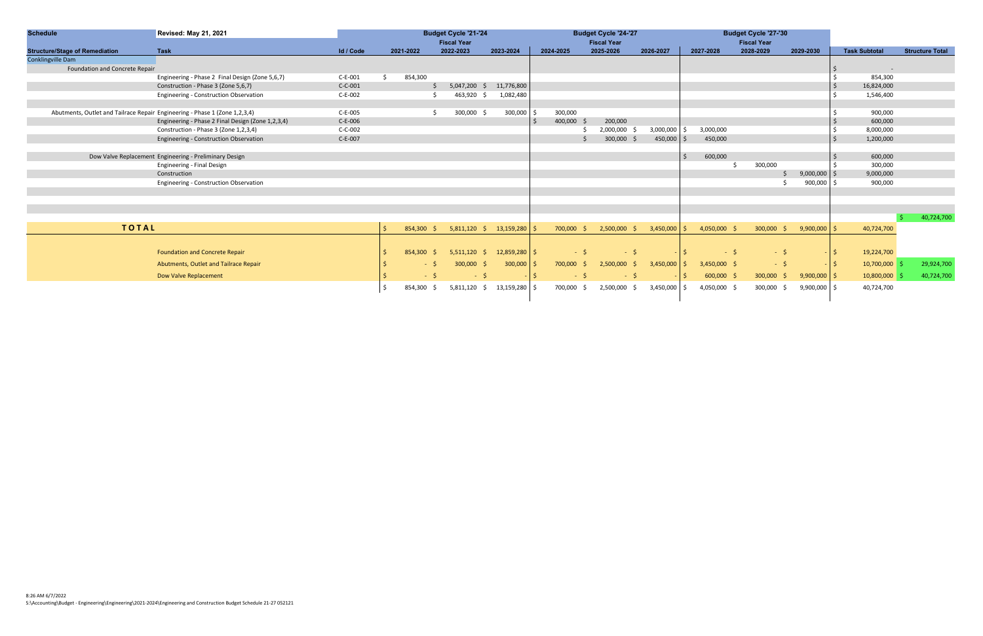| <b>Schedule</b>                       | Revised: May 21, 2021                                                      | <b>Budget Cycle '21-'24</b> |               | <b>Budget Cycle '24-'27</b> |                                    |            |                      | <b>Budget Cycle '27-'30</b> |                    |                           |         |                |                    |                      |           |                      |                        |
|---------------------------------------|----------------------------------------------------------------------------|-----------------------------|---------------|-----------------------------|------------------------------------|------------|----------------------|-----------------------------|--------------------|---------------------------|---------|----------------|--------------------|----------------------|-----------|----------------------|------------------------|
|                                       |                                                                            |                             |               |                             | <b>Fiscal Year</b>                 |            |                      |                             | <b>Fiscal Year</b> |                           |         |                | <b>Fiscal Year</b> |                      |           |                      |                        |
| <b>Structure/Stage of Remediation</b> | <b>Task</b>                                                                | Id / Code                   | 2021-2022     |                             | 2022-2023                          | 2023-2024  | 2024-2025            |                             | 2025-2026          | 2026-2027                 |         | 2027-2028      | 2028-2029          | 2029-2030            |           | <b>Task Subtotal</b> | <b>Structure Total</b> |
| Conklingville Dam                     |                                                                            |                             |               |                             |                                    |            |                      |                             |                    |                           |         |                |                    |                      |           |                      |                        |
| Foundation and Concrete Repair        |                                                                            |                             |               |                             |                                    |            |                      |                             |                    |                           |         |                |                    |                      |           |                      |                        |
|                                       | Engineering - Phase 2 Final Design (Zone 5,6,7)                            | $C-E-001$                   | 854,300<br>Ś. |                             |                                    |            |                      |                             |                    |                           |         |                |                    |                      |           | 854,300              |                        |
|                                       | Construction - Phase 3 (Zone 5,6,7)                                        | $C-C-001$                   |               |                             | $5,047,200$ \$                     | 11,776,800 |                      |                             |                    |                           |         |                |                    |                      |           | 16,824,000           |                        |
|                                       | Engineering - Construction Observation                                     | C-E-002                     |               |                             | 463,920 \$                         | 1,082,480  |                      |                             |                    |                           |         |                |                    |                      |           | 1,546,400            |                        |
|                                       |                                                                            |                             |               |                             |                                    |            |                      |                             |                    |                           |         |                |                    |                      |           |                      |                        |
|                                       | Abutments, Outlet and Tailrace Repair Engineering - Phase 1 (Zone 1,2,3,4) | $C-E-005$                   |               |                             | 300,000                            | 300,000    | 300,000              |                             |                    |                           |         |                |                    |                      |           | 900,000              |                        |
|                                       | Engineering - Phase 2 Final Design (Zone 1,2,3,4)                          | $C-E-006$                   |               |                             |                                    |            | 400,000              |                             | 200,000            |                           |         |                |                    |                      |           | 600,000              |                        |
|                                       | Construction - Phase 3 (Zone 1,2,3,4)                                      | $C-C-002$                   |               |                             |                                    |            |                      |                             | 2,000,000          | 3,000,000                 |         | 3,000,000      |                    |                      |           | 8,000,000            |                        |
|                                       | Engineering - Construction Observation                                     | C-E-007                     |               |                             |                                    |            |                      |                             | 300,000<br>- S     | 450,000                   |         | 450,000        |                    |                      |           | 1,200,000            |                        |
|                                       |                                                                            |                             |               |                             |                                    |            |                      |                             |                    |                           |         |                |                    |                      |           |                      |                        |
|                                       | Dow Valve Replacement Engineering - Preliminary Design                     |                             |               |                             |                                    |            |                      |                             |                    |                           | $\zeta$ | 600,000        |                    |                      |           | 600,000              |                        |
|                                       | Engineering - Final Design                                                 |                             |               |                             |                                    |            |                      |                             |                    |                           |         |                | 300,000            |                      |           | 300,000              |                        |
|                                       | Construction                                                               |                             |               |                             |                                    |            |                      |                             |                    |                           |         |                |                    | $9,000,000$ \$<br>S. |           | 9,000,000            |                        |
|                                       | Engineering - Construction Observation                                     |                             |               |                             |                                    |            |                      |                             |                    |                           |         |                |                    | 900,000 \$           |           | 900,000              |                        |
|                                       |                                                                            |                             |               |                             |                                    |            |                      |                             |                    |                           |         |                |                    |                      |           |                      |                        |
|                                       |                                                                            |                             |               |                             |                                    |            |                      |                             |                    |                           |         |                |                    |                      |           |                      |                        |
|                                       |                                                                            |                             |               |                             |                                    |            |                      |                             |                    |                           |         |                |                    |                      |           |                      |                        |
|                                       |                                                                            |                             |               |                             |                                    |            |                      |                             |                    |                           |         |                |                    |                      |           |                      | 40,724,700             |
| <b>TOTAL</b>                          |                                                                            |                             | $854,300$ \$  |                             | $5,811,120 \quad $13,159,280$ \$   |            | 700,000              | S.                          | $2,500,000$ \$     | $3,450,000$ $\frac{1}{5}$ |         | 4,050,000 \$   | $300,000$ \$       | $9,900,000$ \$       |           | 40,724,700           |                        |
|                                       |                                                                            |                             |               |                             |                                    |            |                      |                             |                    |                           |         |                |                    |                      |           |                      |                        |
|                                       |                                                                            |                             |               |                             |                                    |            |                      |                             |                    |                           |         |                |                    |                      |           |                      |                        |
|                                       | <b>Foundation and Concrete Repair</b>                                      |                             | 854,300       | S.                          | $5,511,120 \quad $12,859,280$ \$   |            |                      | $-5$                        | $-5$               |                           | · I S · | $-5$           | $-5$               |                      | $\vert$ s | 19,224,700           |                        |
|                                       | Abutments, Outlet and Tailrace Repair                                      |                             |               | $-5$                        | 300,000<br>-Ś.                     | 300,000    | 700,000<br>$\vert$ S | S.                          | 2,500,000<br>S.    | $3,450,000$ $\frac{2}{5}$ |         | $3,450,000$ \$ | $-5$               |                      | $-$ 5     | 10,700,000           | 29,924,700             |
|                                       | Dow Valve Replacement                                                      |                             |               | $-5$                        | $-5$                               | $-15$      |                      | $-5$                        | $-5$               | $-15$                     |         | $600,000$ \$   | 300,000            | $9,900,000$ \$<br>\$ |           | 10,800,000           | 40,724,700             |
|                                       |                                                                            |                             | 854,300       | S.                          | $5,811,120 \div 13,159,280$ $\div$ |            | 700,000              | \$                          | 2,500,000<br>\$    | 3,450,000                 | -S      | 4,050,000 \$   | 300,000 \$         | $9,900,000$ \$       |           | 40,724,700           |                        |
|                                       |                                                                            |                             |               |                             |                                    |            |                      |                             |                    |                           |         |                |                    |                      |           |                      |                        |